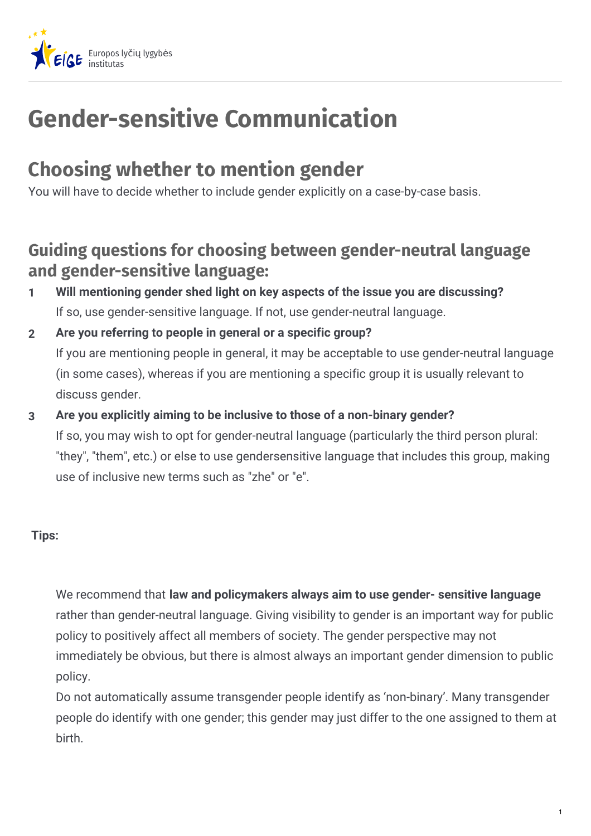

## **Gender-sensitive Communication**

## **Choosing whether to mention gender**

You will have to decide whether to include gender explicitly on a case-by-case basis.

## **Guiding questions for choosing between gender-neutral language and gender-sensitive language:**

- **Will mentioning gender shed light on key aspects of the issue you are discussing?** If so, use gender-sensitive language. If not, use gender-neutral language. **1**
- **Are you referring to people in general or a specific group?** If you are mentioning people in general, it may be acceptable to use gender-neutral language (in some cases), whereas if you are mentioning a specific group it is usually relevant to discuss gender. **2**
- **Are you explicitly aiming to be inclusive to those of a non-binary gender?** If so, you may wish to opt for gender-neutral language (particularly the third person plural: "they", "them", etc.) or else to use gendersensitive language that includes this group, making use of inclusive new terms such as "zhe" or "e". **3**

## **Tips:**

We recommend that **law and policymakers always aim to use gender- sensitive language** rather than gender-neutral language. Giving visibility to gender is an important way for public policy to positively affect all members of society. The gender perspective may not immediately be obvious, but there is almost always an important gender dimension to public policy.

Do not automatically assume transgender people identify as 'non-binary'. Many transgender people do identify with one gender; this gender may just differ to the one assigned to them at birth.